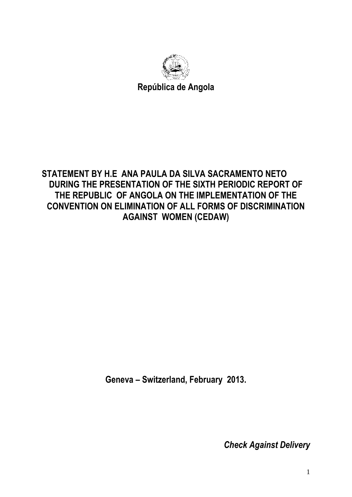

**República de Angola**

## **STATEMENT BY H.E ANA PAULA DA SILVA SACRAMENTO NETO DURING THE PRESENTATION OF THE SIXTH PERIODIC REPORT OF THE REPUBLIC OF ANGOLA ON THE IMPLEMENTATION OF THE CONVENTION ON ELIMINATION OF ALL FORMS OF DISCRIMINATION AGAINST WOMEN (CEDAW)**

**Geneva – Switzerland, February 2013.**

*Check Against Delivery*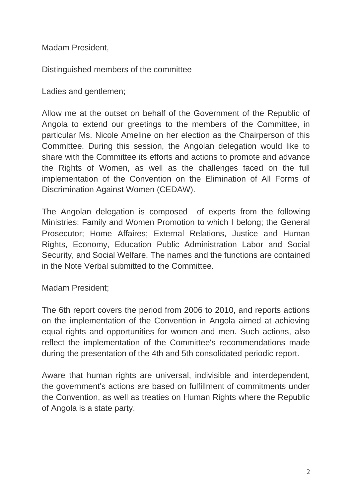Madam President,

Distinguished members of the committee

Ladies and gentlemen;

Allow me at the outset on behalf of the Government of the Republic of Angola to extend our greetings to the members of the Committee, in particular Ms. Nicole Ameline on her election as the Chairperson of this Committee. During this session, the Angolan delegation would like to share with the Committee its efforts and actions to promote and advance the Rights of Women, as well as the challenges faced on the full implementation of the Convention on the Elimination of All Forms of Discrimination Against Women (CEDAW).

The Angolan delegation is composed of experts from the following Ministries: Family and Women Promotion to which I belong; the General Prosecutor; Home Affaires; External Relations, Justice and Human Rights, Economy, Education Public Administration Labor and Social Security, and Social Welfare. The names and the functions are contained in the Note Verbal submitted to the Committee.

Madam President;

The 6th report covers the period from 2006 to 2010, and reports actions on the implementation of the Convention in Angola aimed at achieving equal rights and opportunities for women and men. Such actions, also reflect the implementation of the Committee's recommendations made during the presentation of the 4th and 5th consolidated periodic report.

Aware that human rights are universal, indivisible and interdependent, the government's actions are based on fulfillment of commitments under the Convention, as well as treaties on Human Rights where the Republic of Angola is a state party.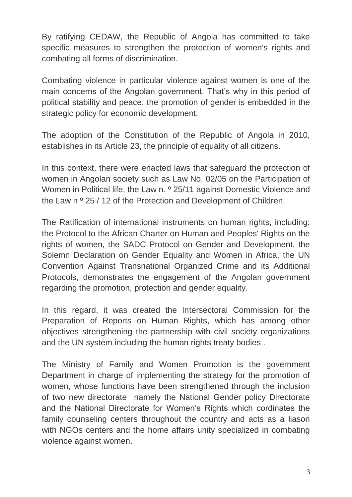By ratifying CEDAW, the Republic of Angola has committed to take specific measures to strengthen the protection of women's rights and combating all forms of discrimination.

Combating violence in particular violence against women is one of the main concerns of the Angolan government. That's why in this period of political stability and peace, the promotion of gender is embedded in the strategic policy for economic development.

The adoption of the Constitution of the Republic of Angola in 2010, establishes in its Article 23, the principle of equality of all citizens.

In this context, there were enacted laws that safeguard the protection of women in Angolan society such as Law No. 02/05 on the Participation of Women in Political life, the Law n. <sup>o</sup> 25/11 against Domestic Violence and the Law n º 25 / 12 of the Protection and Development of Children.

The Ratification of international instruments on human rights, including: the Protocol to the African Charter on Human and Peoples' Rights on the rights of women, the SADC Protocol on Gender and Development, the Solemn Declaration on Gender Equality and Women in Africa, the UN Convention Against Transnational Organized Crime and its Additional Protocols, demonstrates the engagement of the Angolan government regarding the promotion, protection and gender equality.

In this regard, it was created the Intersectoral Commission for the Preparation of Reports on Human Rights, which has among other objectives strengthening the partnership with civil society organizations and the UN system including the human rights treaty bodies .

The Ministry of Family and Women Promotion is the government Department in charge of implementing the strategy for the promotion of women, whose functions have been strengthened through the inclusion of two new directorate namely the National Gender policy Directorate and the National Directorate for Women's Rights which cordinates the family counseling centers throughout the country and acts as a liason with NGOs centers and the home affairs unity specialized in combating violence against women.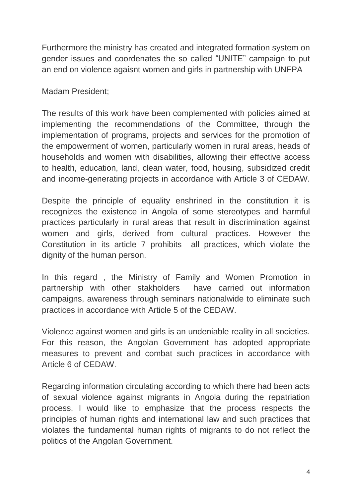Furthermore the ministry has created and integrated formation system on gender issues and coordenates the so called "UNITE" campaign to put an end on violence agaisnt women and girls in partnership with UNFPA

Madam President;

The results of this work have been complemented with policies aimed at implementing the recommendations of the Committee, through the implementation of programs, projects and services for the promotion of the empowerment of women, particularly women in rural areas, heads of households and women with disabilities, allowing their effective access to health, education, land, clean water, food, housing, subsidized credit and income-generating projects in accordance with Article 3 of CEDAW.

Despite the principle of equality enshrined in the constitution it is recognizes the existence in Angola of some stereotypes and harmful practices particularly in rural areas that result in discrimination against women and girls, derived from cultural practices. However the Constitution in its article 7 prohibits all practices, which violate the dignity of the human person.

In this regard , the Ministry of Family and Women Promotion in partnership with other stakholders have carried out information campaigns, awareness through seminars nationalwide to eliminate such practices in accordance with Article 5 of the CEDAW.

Violence against women and girls is an undeniable reality in all societies. For this reason, the Angolan Government has adopted appropriate measures to prevent and combat such practices in accordance with Article 6 of CEDAW.

Regarding information circulating according to which there had been acts of sexual violence against migrants in Angola during the repatriation process, I would like to emphasize that the process respects the principles of human rights and international law and such practices that violates the fundamental human rights of migrants to do not reflect the politics of the Angolan Government.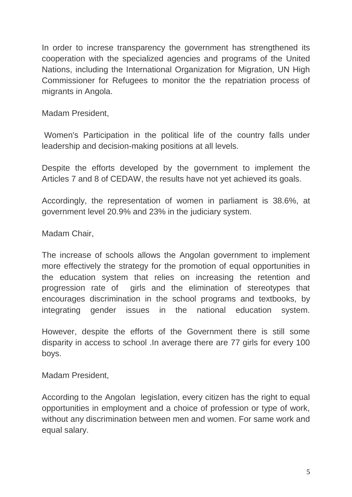In order to increse transparency the government has strengthened its cooperation with the specialized agencies and programs of the United Nations, including the International Organization for Migration, UN High Commissioner for Refugees to monitor the the repatriation process of migrants in Angola.

Madam President,

Women's Participation in the political life of the country falls under leadership and decision-making positions at all levels.

Despite the efforts developed by the government to implement the Articles 7 and 8 of CEDAW, the results have not yet achieved its goals.

Accordingly, the representation of women in parliament is 38.6%, at government level 20.9% and 23% in the judiciary system.

Madam Chair,

The increase of schools allows the Angolan government to implement more effectively the strategy for the promotion of equal opportunities in the education system that relies on increasing the retention and progression rate of girls and the elimination of stereotypes that encourages discrimination in the school programs and textbooks, by integrating gender issues in the national education system.

However, despite the efforts of the Government there is still some disparity in access to school .In average there are 77 girls for every 100 boys.

Madam President,

According to the Angolan legislation, every citizen has the right to equal opportunities in employment and a choice of profession or type of work, without any discrimination between men and women. For same work and equal salary.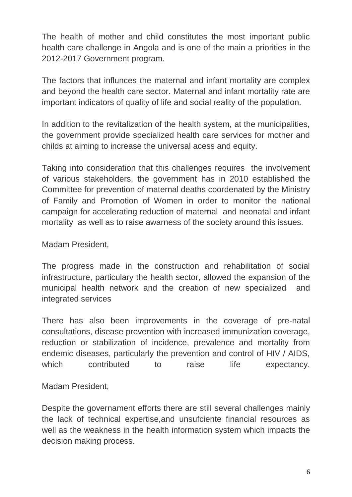The health of mother and child constitutes the most important public health care challenge in Angola and is one of the main a priorities in the 2012-2017 Government program.

The factors that influnces the maternal and infant mortality are complex and beyond the health care sector. Maternal and infant mortality rate are important indicators of quality of life and social reality of the population.

In addition to the revitalization of the health system, at the municipalities, the government provide specialized health care services for mother and childs at aiming to increase the universal acess and equity.

Taking into consideration that this challenges requires the involvement of various stakeholders, the government has in 2010 established the Committee for prevention of maternal deaths coordenated by the Ministry of Family and Promotion of Women in order to monitor the national campaign for accelerating reduction of maternal and neonatal and infant mortality as well as to raise awarness of the society around this issues.

Madam President,

The progress made in the construction and rehabilitation of social infrastructure, particulary the health sector, allowed the expansion of the municipal health network and the creation of new specialized and integrated services

There has also been improvements in the coverage of pre-natal consultations, disease prevention with increased immunization coverage, reduction or stabilization of incidence, prevalence and mortality from endemic diseases, particularly the prevention and control of HIV / AIDS, which contributed to raise life expectancy.

Madam President,

Despite the governament efforts there are still several challenges mainly the lack of technical expertise,and unsufciente financial resources as well as the weakness in the health information system which impacts the decision making process.